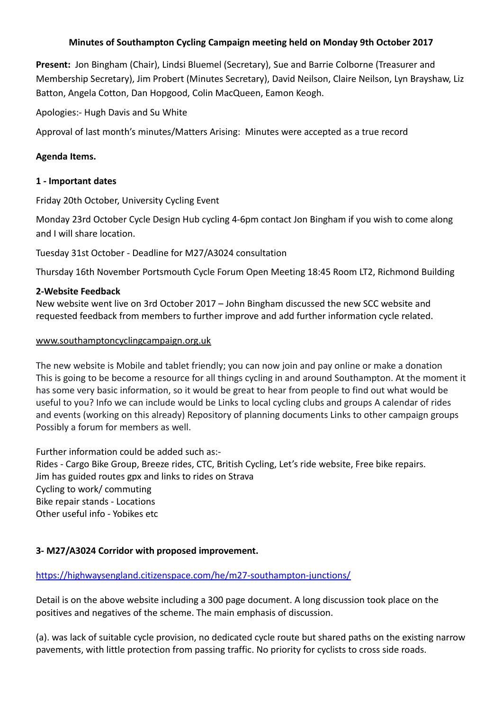# **Minutes of Southampton Cycling Campaign meeting held on Monday 9th October 2017**

**Present:** Jon Bingham (Chair), Lindsi Bluemel (Secretary), Sue and Barrie Colborne (Treasurer and Membership Secretary), Jim Probert (Minutes Secretary), David Neilson, Claire Neilson, Lyn Brayshaw, Liz Batton, Angela Cotton, Dan Hopgood, Colin MacQueen, Eamon Keogh.

Apologies:- Hugh Davis and Su White

Approval of last month's minutes/Matters Arising: Minutes were accepted as a true record

### **Agenda Items.**

### **1 - Important dates**

Friday 20th October, University Cycling Event

Monday 23rd October Cycle Design Hub cycling 4-6pm contact Jon Bingham if you wish to come along and I will share location.

Tuesday 31st October - Deadline for M27/A3024 consultation

Thursday 16th November Portsmouth Cycle Forum Open Meeting 18:45 Room LT2, Richmond Building

## **2-Website Feedback**

New website went live on 3rd October 2017 – John Bingham discussed the new SCC website and requested feedback from members to further improve and add further information cycle related.

### [www.southamptoncyclingcampaign.org.uk](http://www.southamptoncyclingcampaign.org.uk/)

The new website is Mobile and tablet friendly; you can now join and pay online or make a donation This is going to be become a resource for all things cycling in and around Southampton. At the moment it has some very basic information, so it would be great to hear from people to find out what would be useful to you? Info we can include would be Links to local cycling clubs and groups A calendar of rides and events (working on this already) Repository of planning documents Links to other campaign groups Possibly a forum for members as well.

Further information could be added such as:- Rides - Cargo Bike Group, Breeze rides, CTC, British Cycling, Let's ride website, Free bike repairs. Jim has guided routes gpx and links to rides on Strava Cycling to work/ commuting Bike repair stands - Locations Other useful info - Yobikes etc

### **3- M27/A3024 Corridor with proposed improvement.**

# <https://highwaysengland.citizenspace.com/he/m27-southampton-junctions/>

Detail is on the above website including a 300 page document. A long discussion took place on the positives and negatives of the scheme. The main emphasis of discussion.

(a). was lack of suitable cycle provision, no dedicated cycle route but shared paths on the existing narrow pavements, with little protection from passing traffic. No priority for cyclists to cross side roads.